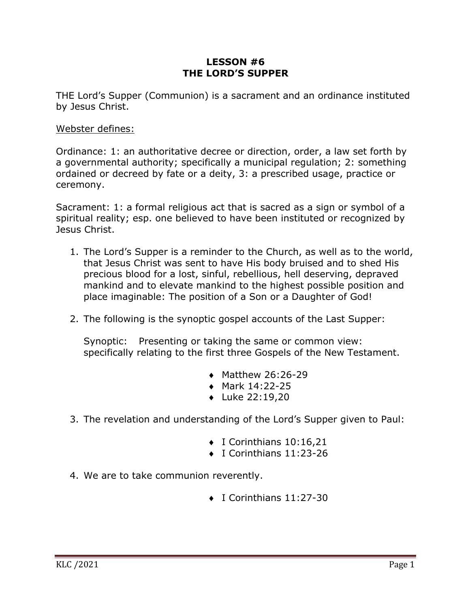## **LESSON #6 THE LORD'S SUPPER**

THE Lord's Supper (Communion) is a sacrament and an ordinance instituted by Jesus Christ.

## Webster defines:

Ordinance: 1: an authoritative decree or direction, order, a law set forth by a governmental authority; specifically a municipal regulation; 2: something ordained or decreed by fate or a deity, 3: a prescribed usage, practice or ceremony.

Sacrament: 1: a formal religious act that is sacred as a sign or symbol of a spiritual reality; esp. one believed to have been instituted or recognized by Jesus Christ.

- 1. The Lord's Supper is a reminder to the Church, as well as to the world, that Jesus Christ was sent to have His body bruised and to shed His precious blood for a lost, sinful, rebellious, hell deserving, depraved mankind and to elevate mankind to the highest possible position and place imaginable: The position of a Son or a Daughter of God!
- 2. The following is the synoptic gospel accounts of the Last Supper:

Synoptic: Presenting or taking the same or common view: specifically relating to the first three Gospels of the New Testament.

- $\bullet$  Matthew 26:26-29
- $\bullet$  Mark 14:22-25
- $\bullet$  Luke 22:19,20
- 3. The revelation and understanding of the Lord's Supper given to Paul:
	- $\bullet$  I Corinthians 10:16,21
	- $\bullet$  I Corinthians 11:23-26
- 4. We are to take communion reverently.
	- $\bullet$  I Corinthians 11:27-30